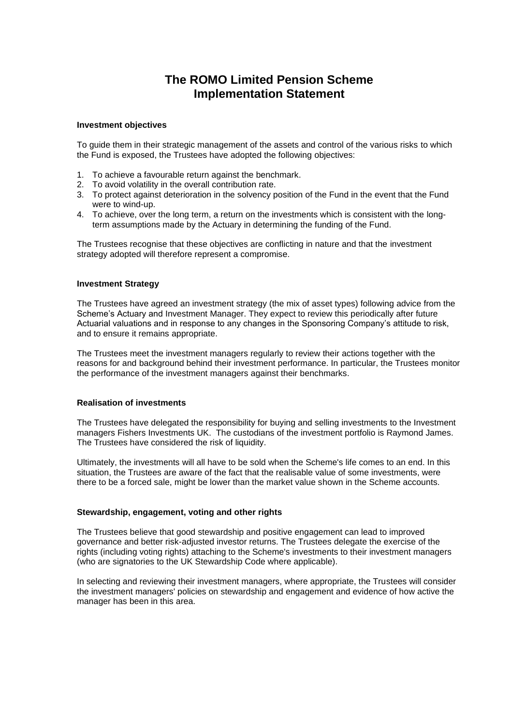# **The ROMO Limited Pension Scheme Implementation Statement**

#### **Investment objectives**

To guide them in their strategic management of the assets and control of the various risks to which the Fund is exposed, the Trustees have adopted the following objectives:

- 1. To achieve a favourable return against the benchmark.
- 2. To avoid volatility in the overall contribution rate.
- 3. To protect against deterioration in the solvency position of the Fund in the event that the Fund were to wind-up.
- 4. To achieve, over the long term, a return on the investments which is consistent with the longterm assumptions made by the Actuary in determining the funding of the Fund.

The Trustees recognise that these objectives are conflicting in nature and that the investment strategy adopted will therefore represent a compromise.

## **Investment Strategy**

The Trustees have agreed an investment strategy (the mix of asset types) following advice from the Scheme's Actuary and Investment Manager. They expect to review this periodically after future Actuarial valuations and in response to any changes in the Sponsoring Company's attitude to risk, and to ensure it remains appropriate.

The Trustees meet the investment managers regularly to review their actions together with the reasons for and background behind their investment performance. In particular, the Trustees monitor the performance of the investment managers against their benchmarks.

## **Realisation of investments**

The Trustees have delegated the responsibility for buying and selling investments to the Investment managers Fishers Investments UK. The custodians of the investment portfolio is Raymond James. The Trustees have considered the risk of liquidity.

Ultimately, the investments will all have to be sold when the Scheme's life comes to an end. In this situation, the Trustees are aware of the fact that the realisable value of some investments, were there to be a forced sale, might be lower than the market value shown in the Scheme accounts.

## **Stewardship, engagement, voting and other rights**

The Trustees believe that good stewardship and positive engagement can lead to improved governance and better risk-adjusted investor returns. The Trustees delegate the exercise of the rights (including voting rights) attaching to the Scheme's investments to their investment managers (who are signatories to the UK Stewardship Code where applicable).

In selecting and reviewing their investment managers, where appropriate, the Trustees will consider the investment managers' policies on stewardship and engagement and evidence of how active the manager has been in this area.